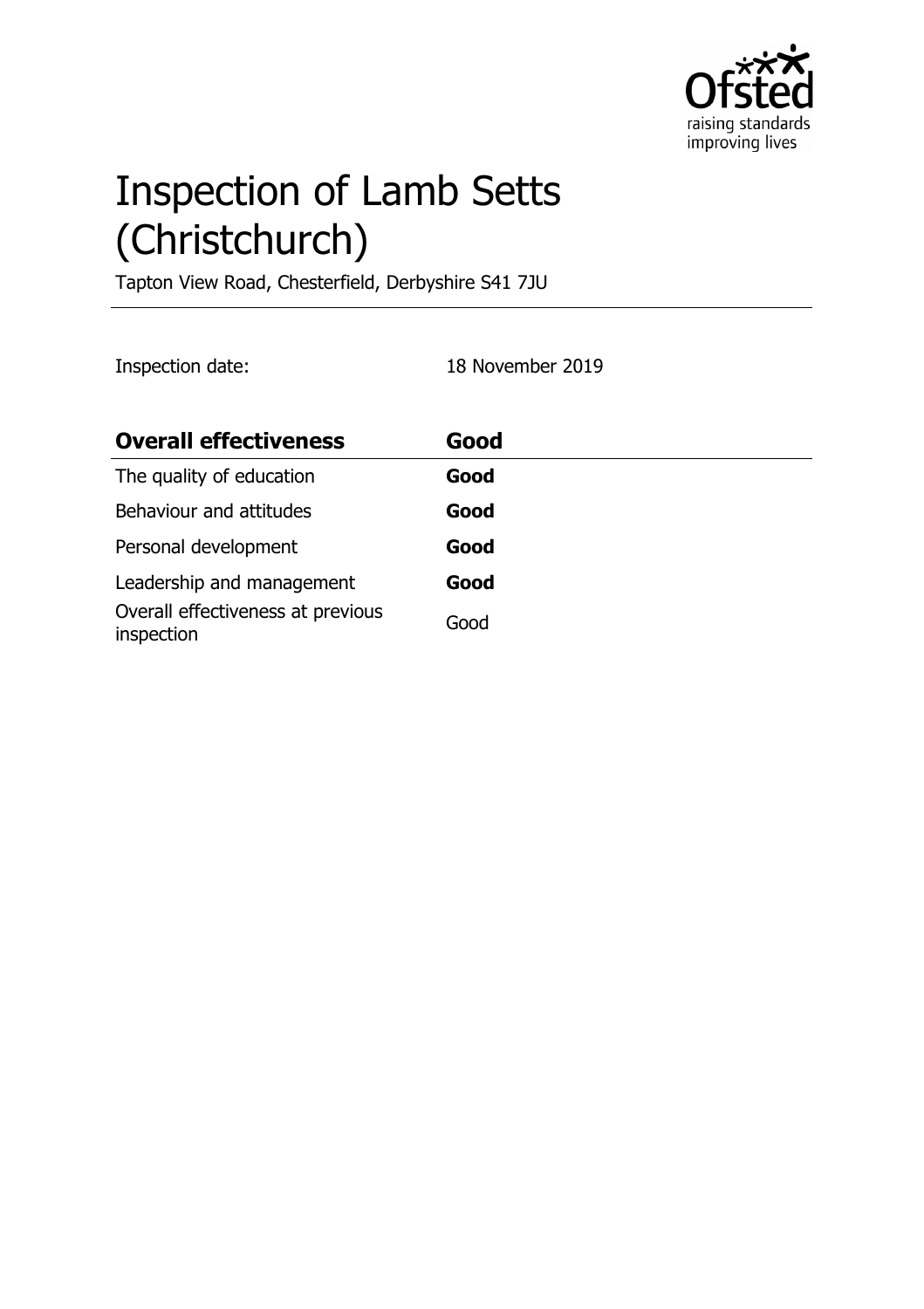

# Inspection of Lamb Setts (Christchurch)

Tapton View Road, Chesterfield, Derbyshire S41 7JU

Inspection date: 18 November 2019

| <b>Overall effectiveness</b>                    | Good |
|-------------------------------------------------|------|
| The quality of education                        | Good |
| Behaviour and attitudes                         | Good |
| Personal development                            | Good |
| Leadership and management                       | Good |
| Overall effectiveness at previous<br>inspection | Good |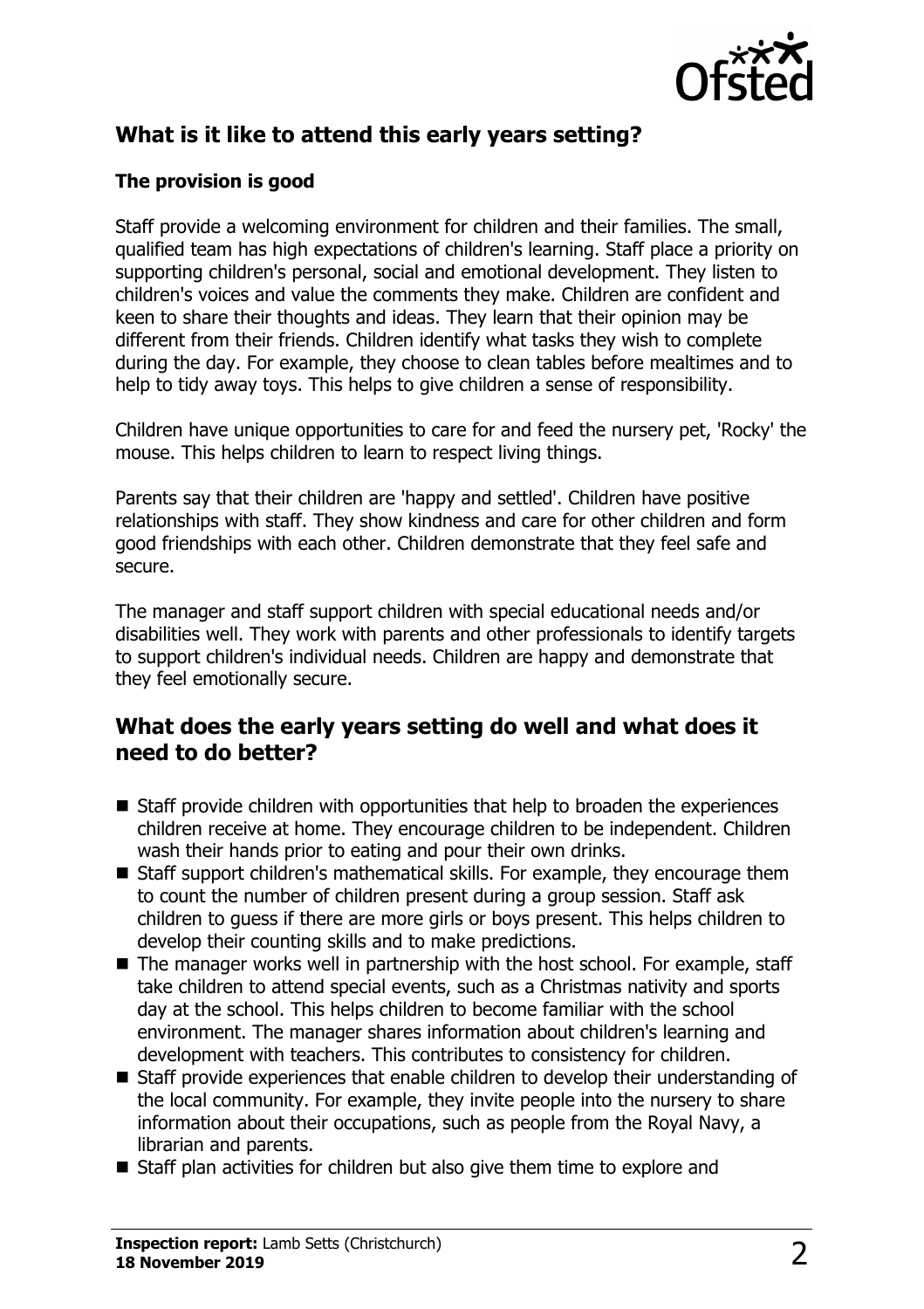

## **What is it like to attend this early years setting?**

### **The provision is good**

Staff provide a welcoming environment for children and their families. The small, qualified team has high expectations of children's learning. Staff place a priority on supporting children's personal, social and emotional development. They listen to children's voices and value the comments they make. Children are confident and keen to share their thoughts and ideas. They learn that their opinion may be different from their friends. Children identify what tasks they wish to complete during the day. For example, they choose to clean tables before mealtimes and to help to tidy away toys. This helps to give children a sense of responsibility.

Children have unique opportunities to care for and feed the nursery pet, 'Rocky' the mouse. This helps children to learn to respect living things.

Parents say that their children are 'happy and settled'. Children have positive relationships with staff. They show kindness and care for other children and form good friendships with each other. Children demonstrate that they feel safe and secure.

The manager and staff support children with special educational needs and/or disabilities well. They work with parents and other professionals to identify targets to support children's individual needs. Children are happy and demonstrate that they feel emotionally secure.

## **What does the early years setting do well and what does it need to do better?**

- $\blacksquare$  Staff provide children with opportunities that help to broaden the experiences children receive at home. They encourage children to be independent. Children wash their hands prior to eating and pour their own drinks.
- $\blacksquare$  Staff support children's mathematical skills. For example, they encourage them to count the number of children present during a group session. Staff ask children to guess if there are more girls or boys present. This helps children to develop their counting skills and to make predictions.
- $\blacksquare$  The manager works well in partnership with the host school. For example, staff take children to attend special events, such as a Christmas nativity and sports day at the school. This helps children to become familiar with the school environment. The manager shares information about children's learning and development with teachers. This contributes to consistency for children.
- $\blacksquare$  Staff provide experiences that enable children to develop their understanding of the local community. For example, they invite people into the nursery to share information about their occupations, such as people from the Royal Navy, a librarian and parents.
- $\blacksquare$  Staff plan activities for children but also give them time to explore and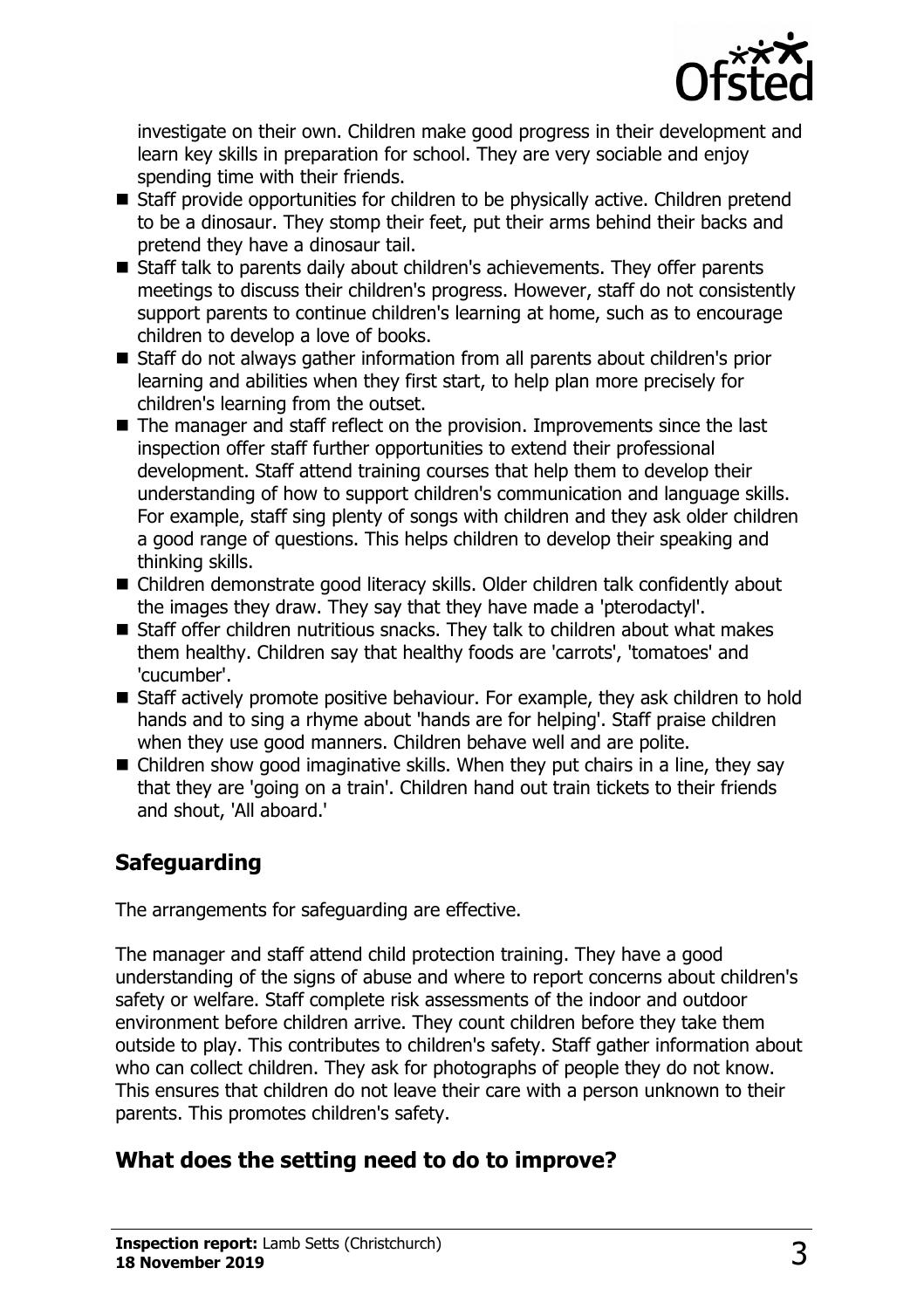

investigate on their own. Children make good progress in their development and learn key skills in preparation for school. They are very sociable and enjoy spending time with their friends.

- $\blacksquare$  Staff provide opportunities for children to be physically active. Children pretend to be a dinosaur. They stomp their feet, put their arms behind their backs and pretend they have a dinosaur tail.
- Staff talk to parents daily about children's achievements. They offer parents meetings to discuss their children's progress. However, staff do not consistently support parents to continue children's learning at home, such as to encourage children to develop a love of books.
- Staff do not always gather information from all parents about children's prior learning and abilities when they first start, to help plan more precisely for children's learning from the outset.
- $\blacksquare$  The manager and staff reflect on the provision. Improvements since the last inspection offer staff further opportunities to extend their professional development. Staff attend training courses that help them to develop their understanding of how to support children's communication and language skills. For example, staff sing plenty of songs with children and they ask older children a good range of questions. This helps children to develop their speaking and thinking skills.
- Children demonstrate good literacy skills. Older children talk confidently about the images they draw. They say that they have made a 'pterodactyl'.
- $\blacksquare$  Staff offer children nutritious snacks. They talk to children about what makes them healthy. Children say that healthy foods are 'carrots', 'tomatoes' and 'cucumber'.
- Staff actively promote positive behaviour. For example, they ask children to hold hands and to sing a rhyme about 'hands are for helping'. Staff praise children when they use good manners. Children behave well and are polite.
- $\blacksquare$  Children show good imaginative skills. When they put chairs in a line, they say that they are 'going on a train'. Children hand out train tickets to their friends and shout, 'All aboard.'

# **Safeguarding**

The arrangements for safeguarding are effective.

The manager and staff attend child protection training. They have a good understanding of the signs of abuse and where to report concerns about children's safety or welfare. Staff complete risk assessments of the indoor and outdoor environment before children arrive. They count children before they take them outside to play. This contributes to children's safety. Staff gather information about who can collect children. They ask for photographs of people they do not know. This ensures that children do not leave their care with a person unknown to their parents. This promotes children's safety.

# **What does the setting need to do to improve?**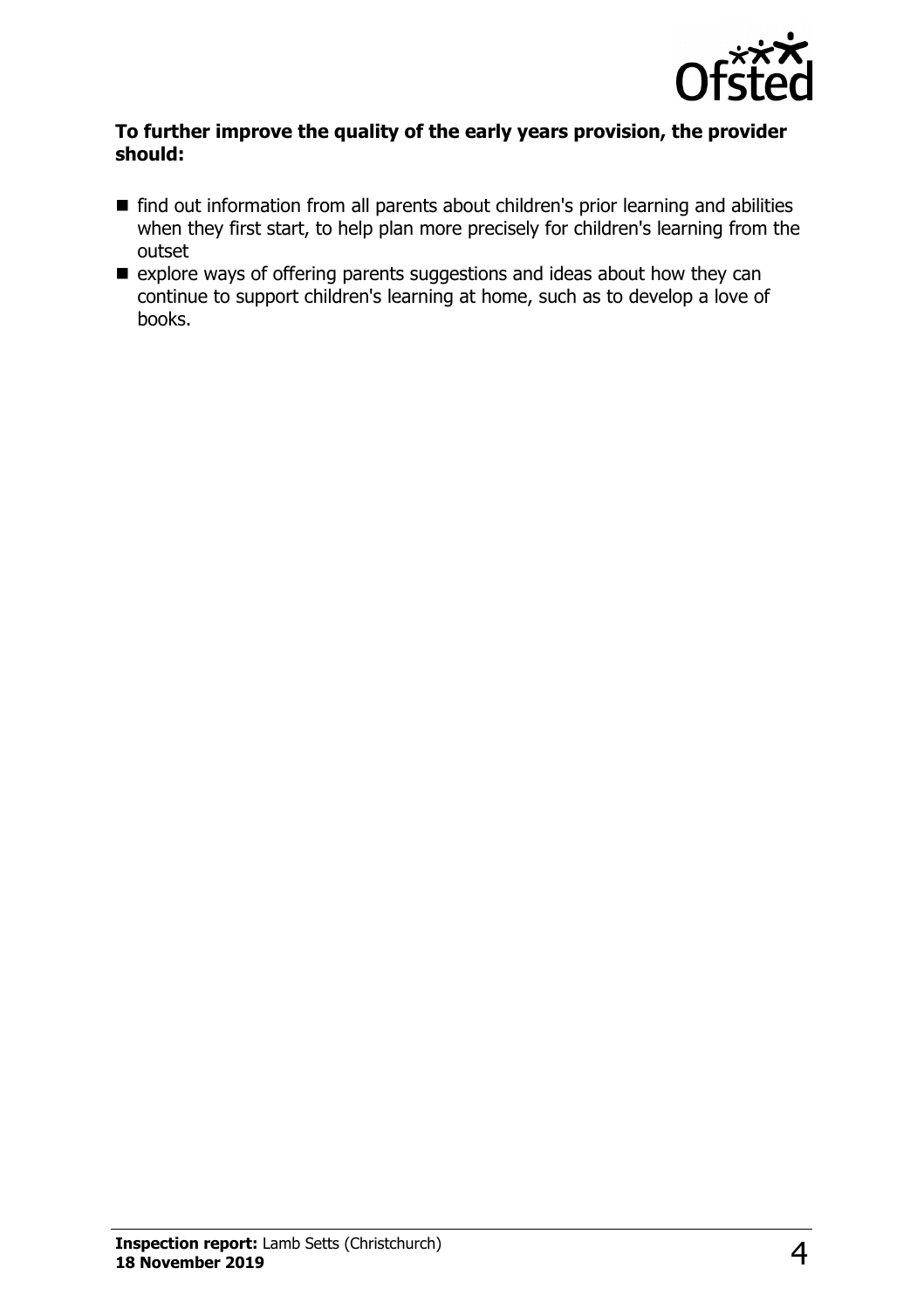

#### **To further improve the quality of the early years provision, the provider should:**

- find out information from all parents about children's prior learning and abilities when they first start, to help plan more precisely for children's learning from the outset
- $\blacksquare$  explore ways of offering parents suggestions and ideas about how they can continue to support children's learning at home, such as to develop a love of books.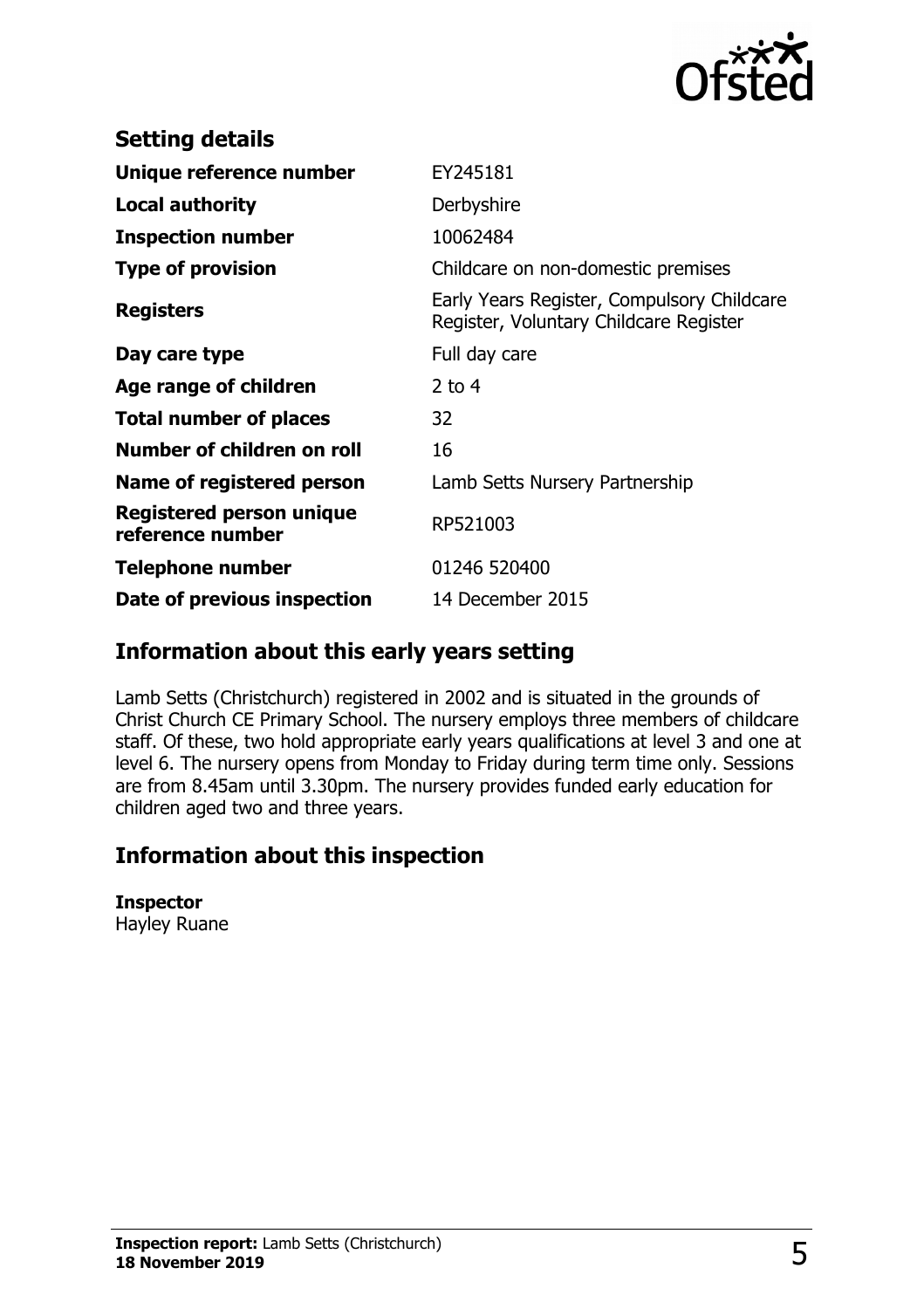

| <b>Setting details</b>                              |                                                                                      |
|-----------------------------------------------------|--------------------------------------------------------------------------------------|
| Unique reference number                             | EY245181                                                                             |
| <b>Local authority</b>                              | Derbyshire                                                                           |
| <b>Inspection number</b>                            | 10062484                                                                             |
| <b>Type of provision</b>                            | Childcare on non-domestic premises                                                   |
| <b>Registers</b>                                    | Early Years Register, Compulsory Childcare<br>Register, Voluntary Childcare Register |
| Day care type                                       | Full day care                                                                        |
| Age range of children                               | 2 to $4$                                                                             |
| <b>Total number of places</b>                       | 32                                                                                   |
| Number of children on roll                          | 16                                                                                   |
| Name of registered person                           | Lamb Setts Nursery Partnership                                                       |
| <b>Registered person unique</b><br>reference number | RP521003                                                                             |
| Telephone number                                    | 01246 520400                                                                         |
| Date of previous inspection                         | 14 December 2015                                                                     |

## **Information about this early years setting**

Lamb Setts (Christchurch) registered in 2002 and is situated in the grounds of Christ Church CE Primary School. The nursery employs three members of childcare staff. Of these, two hold appropriate early years qualifications at level 3 and one at level 6. The nursery opens from Monday to Friday during term time only. Sessions are from 8.45am until 3.30pm. The nursery provides funded early education for children aged two and three years.

## **Information about this inspection**

#### **Inspector**

Hayley Ruane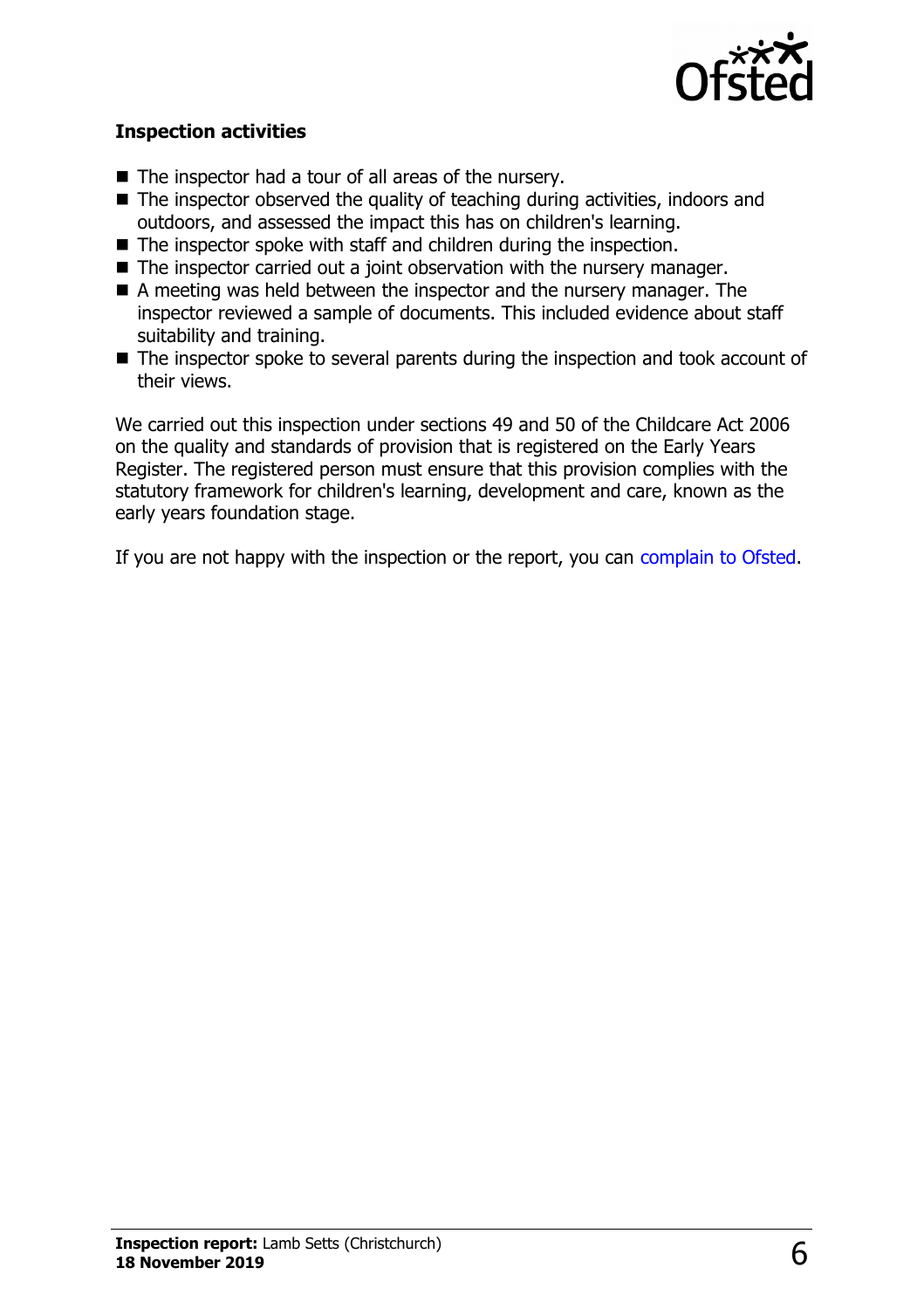

#### **Inspection activities**

- $\blacksquare$  The inspector had a tour of all areas of the nursery.
- $\blacksquare$  The inspector observed the quality of teaching during activities, indoors and outdoors, and assessed the impact this has on children's learning.
- $\blacksquare$  The inspector spoke with staff and children during the inspection.
- $\blacksquare$  The inspector carried out a joint observation with the nursery manager.
- $\blacksquare$  A meeting was held between the inspector and the nursery manager. The inspector reviewed a sample of documents. This included evidence about staff suitability and training.
- $\blacksquare$  The inspector spoke to several parents during the inspection and took account of their views.

We carried out this inspection under sections 49 and 50 of the Childcare Act 2006 on the quality and standards of provision that is registered on the Early Years Register. The registered person must ensure that this provision complies with the statutory framework for children's learning, development and care, known as the early years foundation stage.

If you are not happy with the inspection or the report, you can [complain to Ofsted.](http://www.gov.uk/complain-ofsted-report)